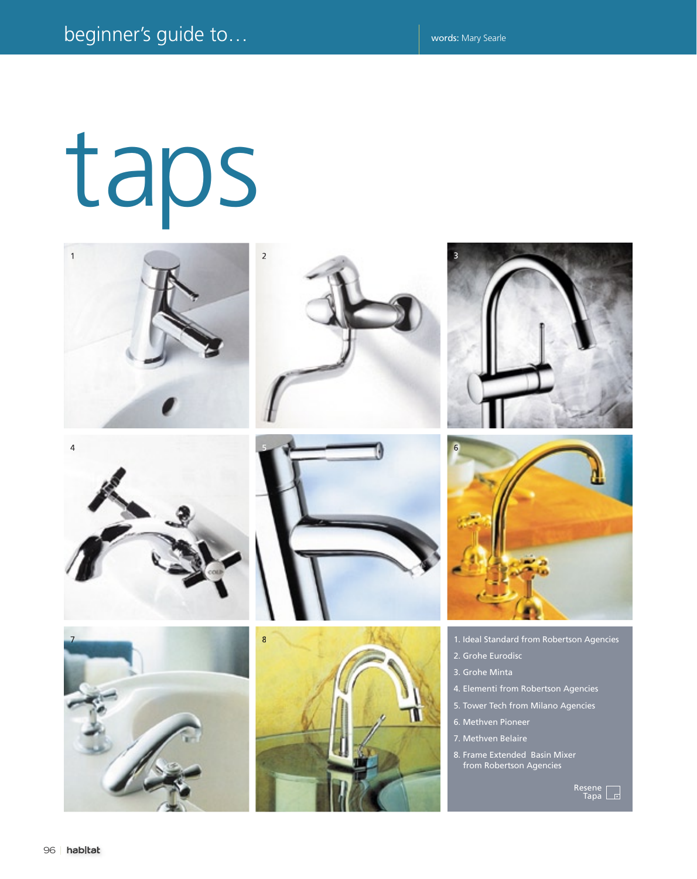## taps

















- 1. Ideal Standard from Robertson Agencies
- 2. Grohe Eurodisc
- 3. Grohe Minta
- 4. Elementi from Robertson Agencies
- 5. Tower Tech from Milano Agencies
- 6. Methven Pioneer
- 7. Methven Belaire
- 8. Frame Extended Basin Mixer from Robertson Agencies

Resene Tapa